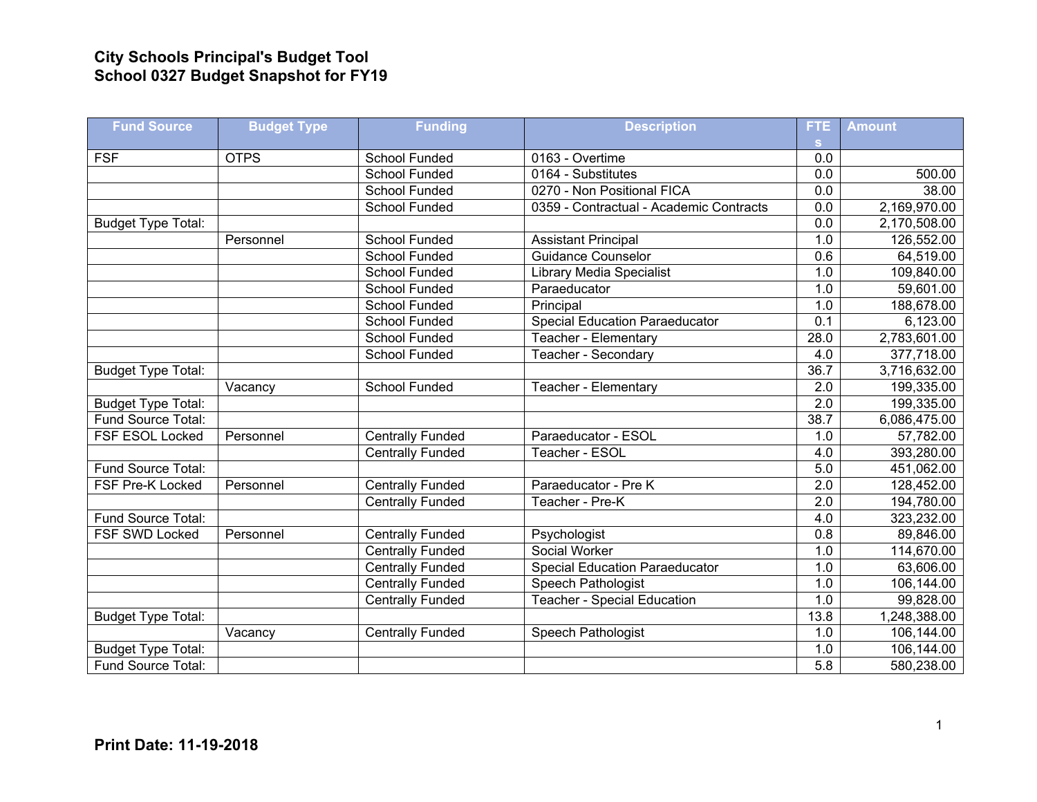## **City Schools Principal's Budget Tool School 0327 Budget Snapshot for FY19**

| <b>Fund Source</b>        | <b>Budget Type</b> | <b>Funding</b>          | <b>Description</b>                      | <b>FTE</b>       | <b>Amount</b> |
|---------------------------|--------------------|-------------------------|-----------------------------------------|------------------|---------------|
|                           |                    |                         |                                         | <b>S</b>         |               |
| <b>FSF</b>                | <b>OTPS</b>        | <b>School Funded</b>    | 0163 - Overtime                         | 0.0              |               |
|                           |                    | <b>School Funded</b>    | 0164 - Substitutes                      | 0.0              | 500.00        |
|                           |                    | School Funded           | 0270 - Non Positional FICA              | 0.0              | 38.00         |
|                           |                    | <b>School Funded</b>    | 0359 - Contractual - Academic Contracts | 0.0              | 2,169,970.00  |
| <b>Budget Type Total:</b> |                    |                         |                                         | 0.0              | 2,170,508.00  |
|                           | Personnel          | School Funded           | <b>Assistant Principal</b>              | 1.0              | 126,552.00    |
|                           |                    | <b>School Funded</b>    | <b>Guidance Counselor</b>               | 0.6              | 64,519.00     |
|                           |                    | School Funded           | <b>Library Media Specialist</b>         | 1.0              | 109,840.00    |
|                           |                    | <b>School Funded</b>    | Paraeducator                            | 1.0              | 59,601.00     |
|                           |                    | School Funded           | Principal                               | 1.0              | 188,678.00    |
|                           |                    | <b>School Funded</b>    | <b>Special Education Paraeducator</b>   | $\overline{0.1}$ | 6,123.00      |
|                           |                    | <b>School Funded</b>    | Teacher - Elementary                    | 28.0             | 2,783,601.00  |
|                           |                    | School Funded           | Teacher - Secondary                     | 4.0              | 377,718.00    |
| <b>Budget Type Total:</b> |                    |                         |                                         | 36.7             | 3,716,632.00  |
|                           | Vacancy            | School Funded           | Teacher - Elementary                    | 2.0              | 199,335.00    |
| Budget Type Total:        |                    |                         |                                         | 2.0              | 199,335.00    |
| Fund Source Total:        |                    |                         |                                         | 38.7             | 6,086,475.00  |
| FSF ESOL Locked           | Personnel          | <b>Centrally Funded</b> | Paraeducator - ESOL                     | 1.0              | 57,782.00     |
|                           |                    | <b>Centrally Funded</b> | Teacher - ESOL                          | 4.0              | 393,280.00    |
| Fund Source Total:        |                    |                         |                                         | 5.0              | 451,062.00    |
| FSF Pre-K Locked          | Personnel          | <b>Centrally Funded</b> | Paraeducator - Pre K                    | 2.0              | 128,452.00    |
|                           |                    | <b>Centrally Funded</b> | Teacher - Pre-K                         | 2.0              | 194,780.00    |
| Fund Source Total:        |                    |                         |                                         | 4.0              | 323,232.00    |
| FSF SWD Locked            | Personnel          | Centrally Funded        | Psychologist                            | 0.8              | 89,846.00     |
|                           |                    | <b>Centrally Funded</b> | Social Worker                           | 1.0              | 114,670.00    |
|                           |                    | <b>Centrally Funded</b> | <b>Special Education Paraeducator</b>   | 1.0              | 63,606.00     |
|                           |                    | <b>Centrally Funded</b> | Speech Pathologist                      | 1.0              | 106,144.00    |
|                           |                    | <b>Centrally Funded</b> | <b>Teacher - Special Education</b>      | 1.0              | 99,828.00     |
| <b>Budget Type Total:</b> |                    |                         |                                         | 13.8             | 1,248,388.00  |
|                           | Vacancy            | <b>Centrally Funded</b> | Speech Pathologist                      | 1.0              | 106,144.00    |
| <b>Budget Type Total:</b> |                    |                         |                                         | 1.0              | 106,144.00    |
| Fund Source Total:        |                    |                         |                                         | 5.8              | 580,238.00    |